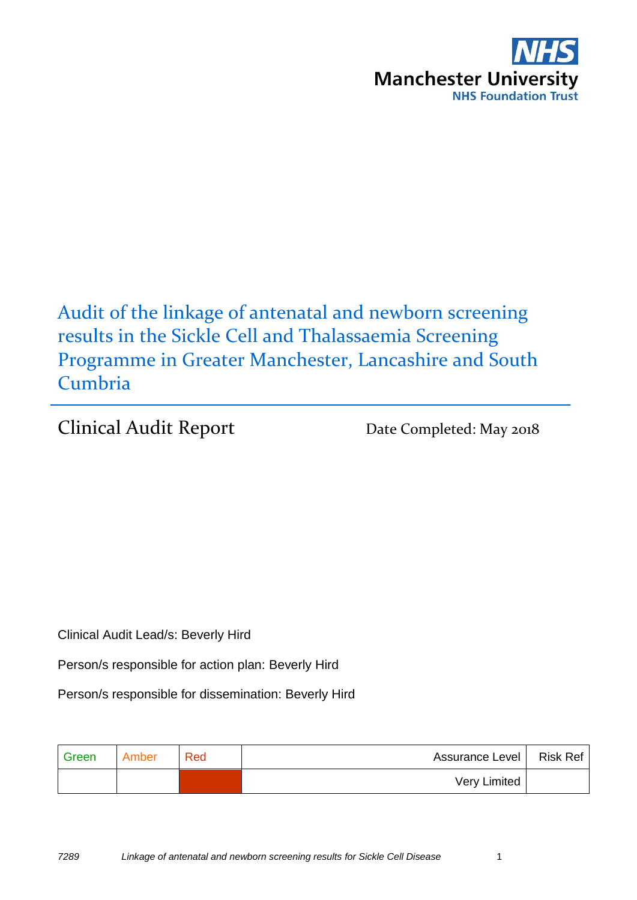

Audit of the linkage of antenatal and newborn screening results in the Sickle Cell and Thalassaemia Screening Programme in Greater Manchester, Lancashire and South Cumbria

Clinical Audit Report Date Completed: May 2018

Clinical Audit Lead/s: Beverly Hird

Person/s responsible for action plan: Beverly Hird

Person/s responsible for dissemination: Beverly Hird

| Green | Amber | Red | Assurance Level | Risk Ref |
|-------|-------|-----|-----------------|----------|
|       |       |     | Very Limited    |          |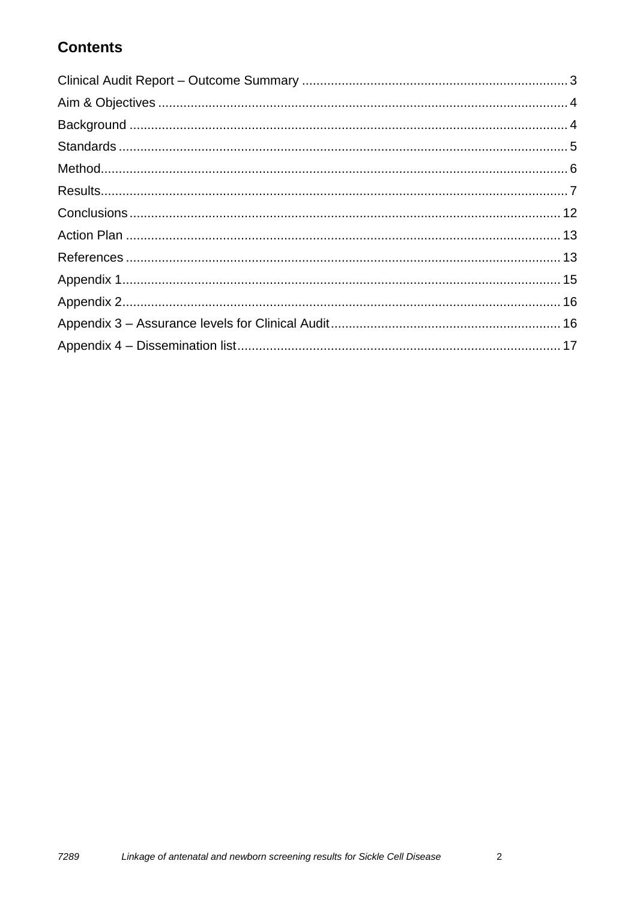#### **Contents**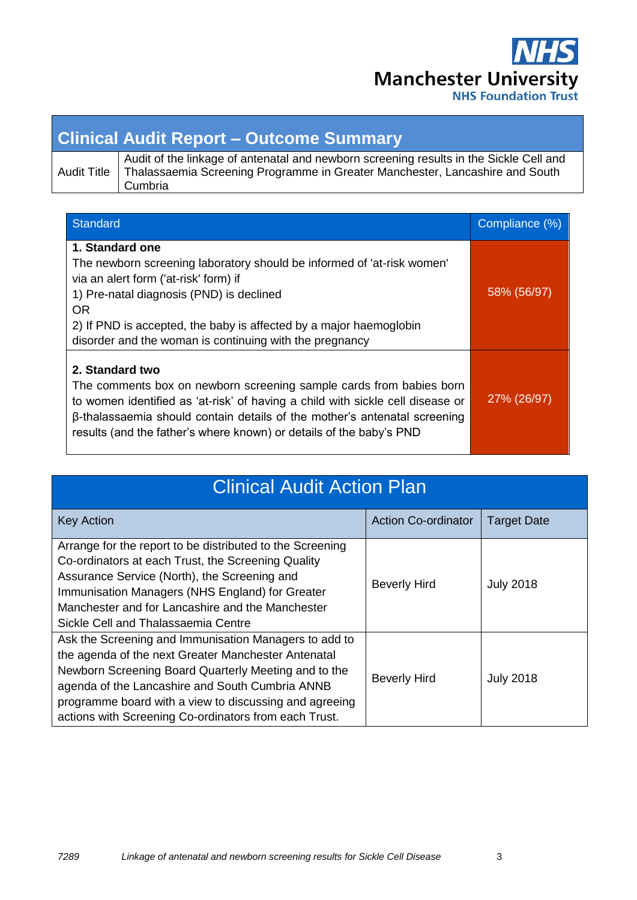

### <span id="page-2-0"></span>**Clinical Audit Report – Outcome Summary**

| <b>Audit Title</b> |
|--------------------|
|--------------------|

Audit of the linkage of antenatal and newborn screening results in the Sickle Cell and Thalassaemia Screening Programme in Greater Manchester, Lancashire and South Cumbria

| Standard                                                                                                                                                                                                                                                                                                                     | Compliance (%) |
|------------------------------------------------------------------------------------------------------------------------------------------------------------------------------------------------------------------------------------------------------------------------------------------------------------------------------|----------------|
| 1. Standard one<br>The newborn screening laboratory should be informed of 'at-risk women'<br>via an alert form ('at-risk' form) if<br>1) Pre-natal diagnosis (PND) is declined<br><b>OR</b><br>2) If PND is accepted, the baby is affected by a major haemoglobin<br>disorder and the woman is continuing with the pregnancy | 58% (56/97)    |
| 2. Standard two<br>The comments box on newborn screening sample cards from babies born<br>to women identified as 'at-risk' of having a child with sickle cell disease or<br>β-thalassaemia should contain details of the mother's antenatal screening<br>results (and the father's where known) or details of the baby's PND | 27% (26/97)    |

| <b>Clinical Audit Action Plan</b>                                                                                                                                                                                                                                                                                                          |                            |                    |  |  |  |  |
|--------------------------------------------------------------------------------------------------------------------------------------------------------------------------------------------------------------------------------------------------------------------------------------------------------------------------------------------|----------------------------|--------------------|--|--|--|--|
| <b>Key Action</b>                                                                                                                                                                                                                                                                                                                          | <b>Action Co-ordinator</b> | <b>Target Date</b> |  |  |  |  |
| Arrange for the report to be distributed to the Screening<br>Co-ordinators at each Trust, the Screening Quality<br>Assurance Service (North), the Screening and<br>Immunisation Managers (NHS England) for Greater<br>Manchester and for Lancashire and the Manchester<br>Sickle Cell and Thalassaemia Centre                              | <b>Beverly Hird</b>        | <b>July 2018</b>   |  |  |  |  |
| Ask the Screening and Immunisation Managers to add to<br>the agenda of the next Greater Manchester Antenatal<br>Newborn Screening Board Quarterly Meeting and to the<br>agenda of the Lancashire and South Cumbria ANNB<br>programme board with a view to discussing and agreeing<br>actions with Screening Co-ordinators from each Trust. | <b>Beverly Hird</b>        | <b>July 2018</b>   |  |  |  |  |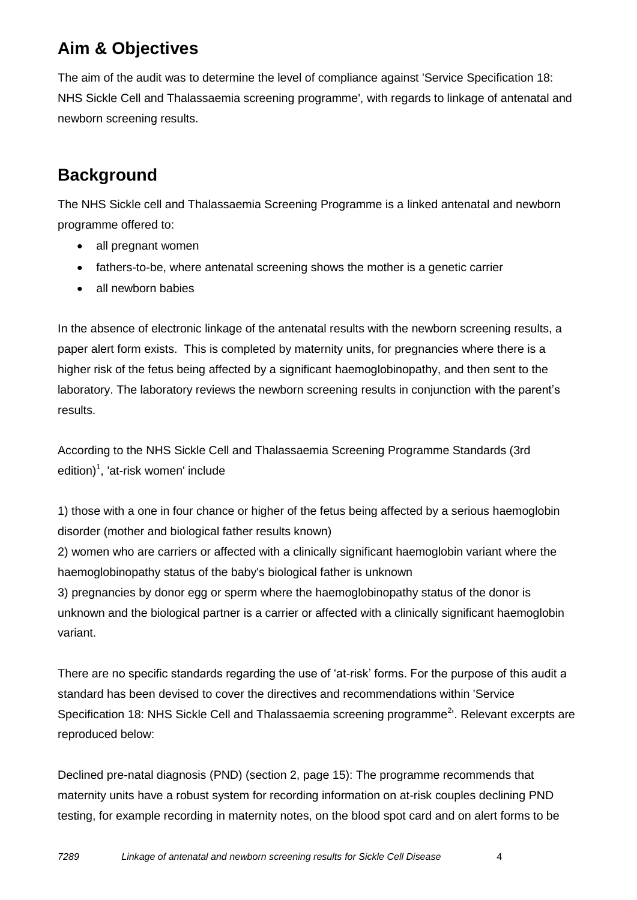### <span id="page-3-0"></span>**Aim & Objectives**

The aim of the audit was to determine the level of compliance against 'Service Specification 18: NHS Sickle Cell and Thalassaemia screening programme', with regards to linkage of antenatal and newborn screening results.

### <span id="page-3-1"></span>**Background**

The NHS Sickle cell and Thalassaemia Screening Programme is a linked antenatal and newborn programme offered to:

- all pregnant women
- fathers-to-be, where antenatal screening shows the mother is a genetic carrier
- all newborn babies

In the absence of electronic linkage of the antenatal results with the newborn screening results, a paper alert form exists. This is completed by maternity units, for pregnancies where there is a higher risk of the fetus being affected by a significant haemoglobinopathy, and then sent to the laboratory. The laboratory reviews the newborn screening results in conjunction with the parent's results.

According to the NHS Sickle Cell and Thalassaemia Screening Programme Standards (3rd edition)<sup>1</sup>, 'at-risk women' include

1) those with a one in four chance or higher of the fetus being affected by a serious haemoglobin disorder (mother and biological father results known)

2) women who are carriers or affected with a clinically significant haemoglobin variant where the haemoglobinopathy status of the baby's biological father is unknown

3) pregnancies by donor egg or sperm where the haemoglobinopathy status of the donor is unknown and the biological partner is a carrier or affected with a clinically significant haemoglobin variant.

There are no specific standards regarding the use of 'at-risk' forms. For the purpose of this audit a standard has been devised to cover the directives and recommendations within 'Service Specification 18: NHS Sickle Cell and Thalassaemia screening programme<sup>2</sup>'. Relevant excerpts are reproduced below:

Declined pre-natal diagnosis (PND) (section 2, page 15): The programme recommends that maternity units have a robust system for recording information on at-risk couples declining PND testing, for example recording in maternity notes, on the blood spot card and on alert forms to be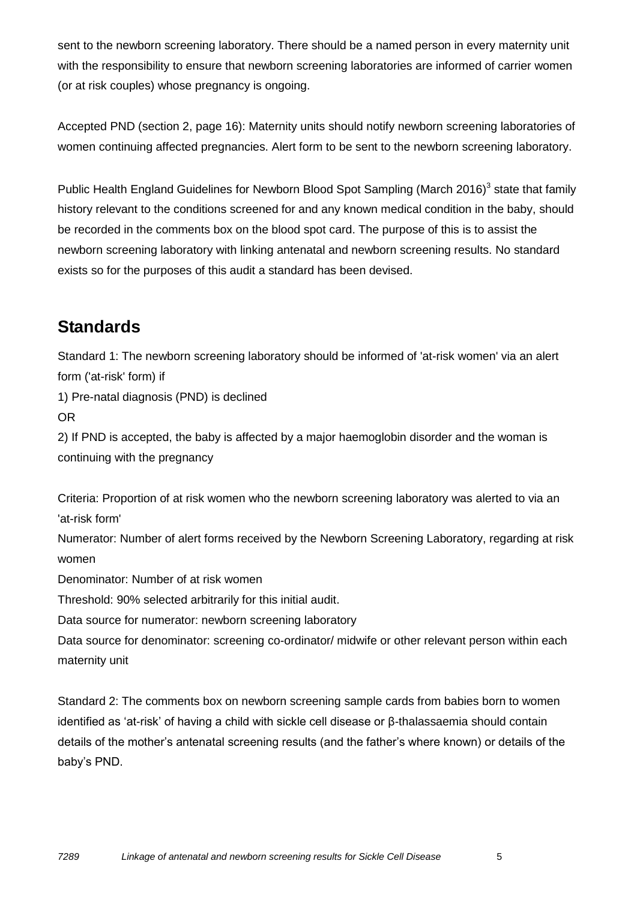sent to the newborn screening laboratory. There should be a named person in every maternity unit with the responsibility to ensure that newborn screening laboratories are informed of carrier women (or at risk couples) whose pregnancy is ongoing.

Accepted PND (section 2, page 16): Maternity units should notify newborn screening laboratories of women continuing affected pregnancies. Alert form to be sent to the newborn screening laboratory.

Public Health England Guidelines for Newborn Blood Spot Sampling (March 2016)<sup>3</sup> state that family history relevant to the conditions screened for and any known medical condition in the baby, should be recorded in the comments box on the blood spot card. The purpose of this is to assist the newborn screening laboratory with linking antenatal and newborn screening results. No standard exists so for the purposes of this audit a standard has been devised.

#### <span id="page-4-0"></span>**Standards**

Standard 1: The newborn screening laboratory should be informed of 'at-risk women' via an alert form ('at-risk' form) if 1) Pre-natal diagnosis (PND) is declined OR 2) If PND is accepted, the baby is affected by a major haemoglobin disorder and the woman is continuing with the pregnancy

Criteria: Proportion of at risk women who the newborn screening laboratory was alerted to via an 'at-risk form'

Numerator: Number of alert forms received by the Newborn Screening Laboratory, regarding at risk women

Denominator: Number of at risk women

Threshold: 90% selected arbitrarily for this initial audit.

Data source for numerator: newborn screening laboratory

Data source for denominator: screening co-ordinator/ midwife or other relevant person within each maternity unit

Standard 2: The comments box on newborn screening sample cards from babies born to women identified as 'at-risk' of having a child with sickle cell disease or β-thalassaemia should contain details of the mother's antenatal screening results (and the father's where known) or details of the baby's PND.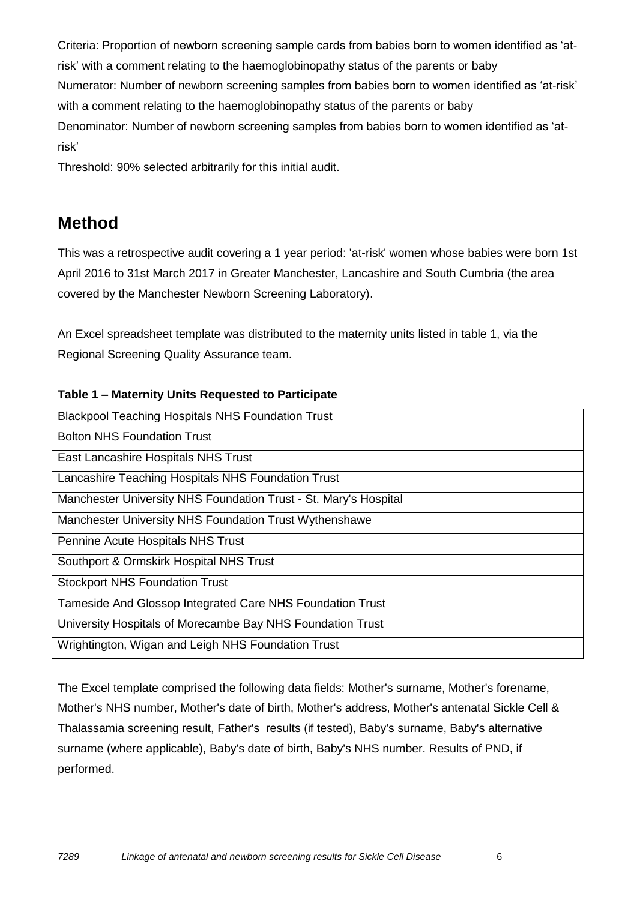Criteria: Proportion of newborn screening sample cards from babies born to women identified as 'atrisk' with a comment relating to the haemoglobinopathy status of the parents or baby Numerator: Number of newborn screening samples from babies born to women identified as 'at-risk' with a comment relating to the haemoglobinopathy status of the parents or baby Denominator: Number of newborn screening samples from babies born to women identified as 'atrisk'

Threshold: 90% selected arbitrarily for this initial audit.

#### <span id="page-5-0"></span>**Method**

This was a retrospective audit covering a 1 year period: 'at-risk' women whose babies were born 1st April 2016 to 31st March 2017 in Greater Manchester, Lancashire and South Cumbria (the area covered by the Manchester Newborn Screening Laboratory).

An Excel spreadsheet template was distributed to the maternity units listed in table 1, via the Regional Screening Quality Assurance team.

#### **Table 1 – Maternity Units Requested to Participate**

| <b>Blackpool Teaching Hospitals NHS Foundation Trust</b>         |
|------------------------------------------------------------------|
| <b>Bolton NHS Foundation Trust</b>                               |
| East Lancashire Hospitals NHS Trust                              |
| Lancashire Teaching Hospitals NHS Foundation Trust               |
| Manchester University NHS Foundation Trust - St. Mary's Hospital |
| Manchester University NHS Foundation Trust Wythenshawe           |
| Pennine Acute Hospitals NHS Trust                                |
| Southport & Ormskirk Hospital NHS Trust                          |
| <b>Stockport NHS Foundation Trust</b>                            |
| Tameside And Glossop Integrated Care NHS Foundation Trust        |
| University Hospitals of Morecambe Bay NHS Foundation Trust       |
| Wrightington, Wigan and Leigh NHS Foundation Trust               |

The Excel template comprised the following data fields: Mother's surname, Mother's forename, Mother's NHS number, Mother's date of birth, Mother's address, Mother's antenatal Sickle Cell & Thalassamia screening result, Father's results (if tested), Baby's surname, Baby's alternative surname (where applicable), Baby's date of birth, Baby's NHS number. Results of PND, if performed.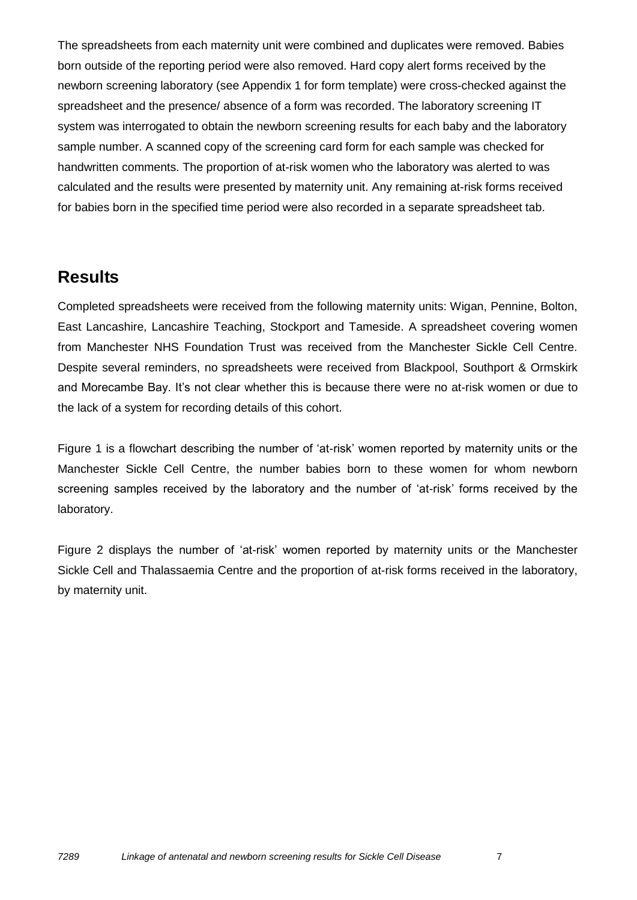The spreadsheets from each maternity unit were combined and duplicates were removed. Babies born outside of the reporting period were also removed. Hard copy alert forms received by the newborn screening laboratory (see Appendix 1 for form template) were cross-checked against the spreadsheet and the presence/ absence of a form was recorded. The laboratory screening IT system was interrogated to obtain the newborn screening results for each baby and the laboratory sample number. A scanned copy of the screening card form for each sample was checked for handwritten comments. The proportion of at-risk women who the laboratory was alerted to was calculated and the results were presented by maternity unit. Any remaining at-risk forms received for babies born in the specified time period were also recorded in a separate spreadsheet tab.

#### <span id="page-6-0"></span>**Results**

Completed spreadsheets were received from the following maternity units: Wigan, Pennine, Bolton, East Lancashire, Lancashire Teaching, Stockport and Tameside. A spreadsheet covering women from Manchester NHS Foundation Trust was received from the Manchester Sickle Cell Centre. Despite several reminders, no spreadsheets were received from Blackpool, Southport & Ormskirk and Morecambe Bay. It's not clear whether this is because there were no at-risk women or due to the lack of a system for recording details of this cohort.

Figure 1 is a flowchart describing the number of 'at-risk' women reported by maternity units or the Manchester Sickle Cell Centre, the number babies born to these women for whom newborn screening samples received by the laboratory and the number of 'at-risk' forms received by the laboratory.

Figure 2 displays the number of 'at-risk' women reported by maternity units or the Manchester Sickle Cell and Thalassaemia Centre and the proportion of at-risk forms received in the laboratory, by maternity unit.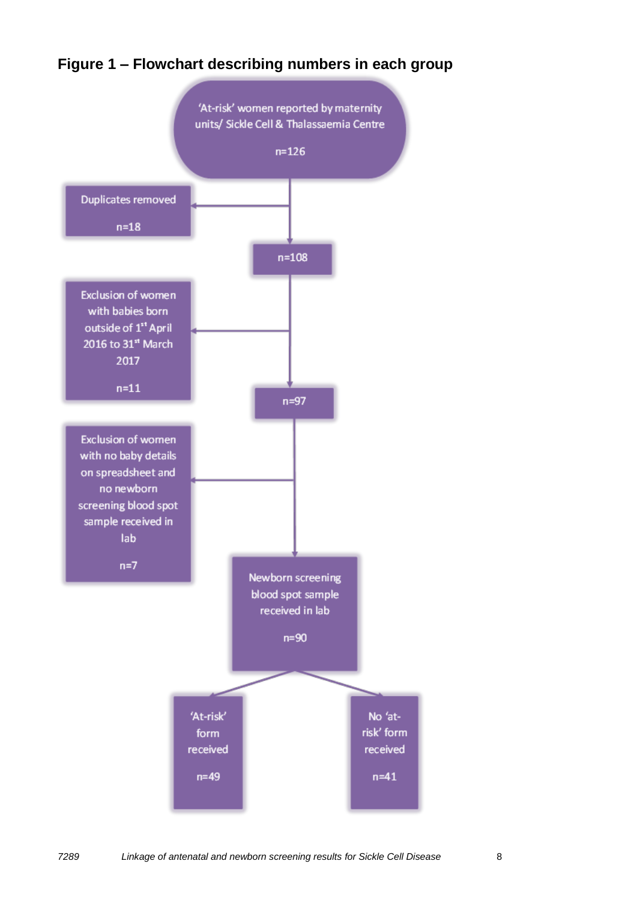

#### **Figure 1 – Flowchart describing numbers in each group**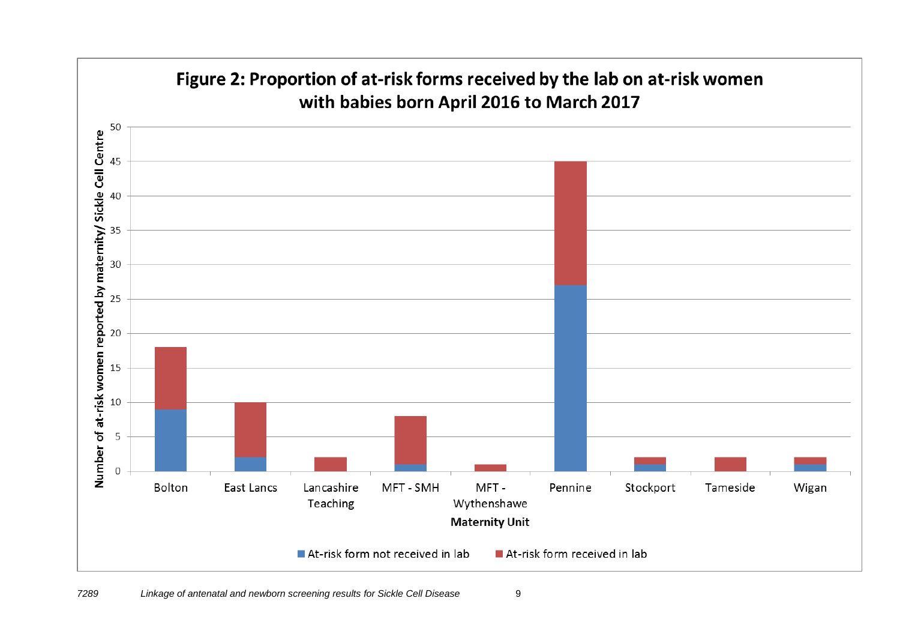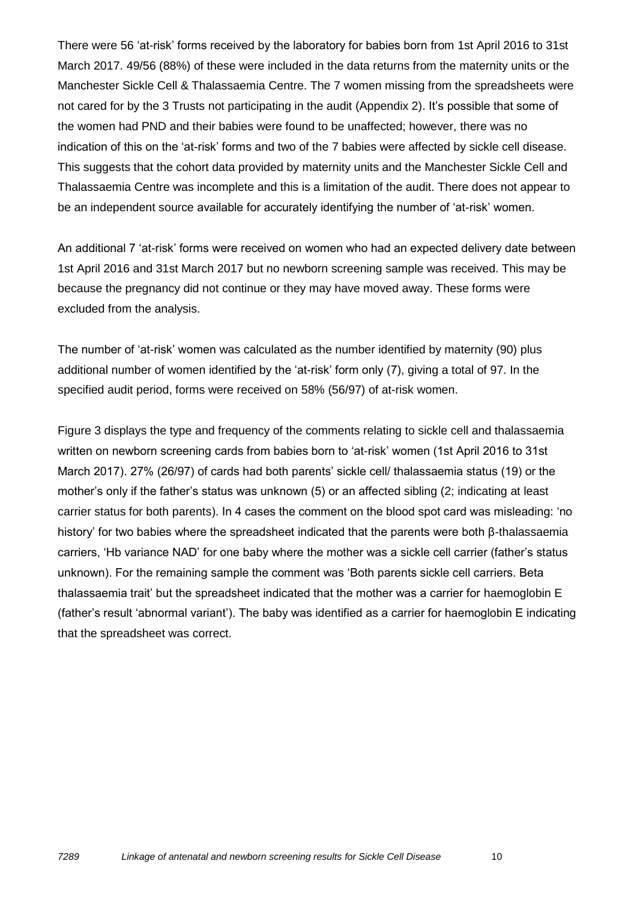There were 56 'at-risk' forms received by the laboratory for babies born from 1st April 2016 to 31st March 2017. 49/56 (88%) of these were included in the data returns from the maternity units or the Manchester Sickle Cell & Thalassaemia Centre. The 7 women missing from the spreadsheets were not cared for by the 3 Trusts not participating in the audit (Appendix 2). It's possible that some of the women had PND and their babies were found to be unaffected; however, there was no indication of this on the 'at-risk' forms and two of the 7 babies were affected by sickle cell disease. This suggests that the cohort data provided by maternity units and the Manchester Sickle Cell and Thalassaemia Centre was incomplete and this is a limitation of the audit. There does not appear to be an independent source available for accurately identifying the number of 'at-risk' women.

An additional 7 'at-risk' forms were received on women who had an expected delivery date between 1st April 2016 and 31st March 2017 but no newborn screening sample was received. This may be because the pregnancy did not continue or they may have moved away. These forms were excluded from the analysis.

The number of 'at-risk' women was calculated as the number identified by maternity (90) plus additional number of women identified by the 'at-risk' form only (7), giving a total of 97. In the specified audit period, forms were received on 58% (56/97) of at-risk women.

Figure 3 displays the type and frequency of the comments relating to sickle cell and thalassaemia written on newborn screening cards from babies born to 'at-risk' women (1st April 2016 to 31st March 2017). 27% (26/97) of cards had both parents' sickle cell/ thalassaemia status (19) or the mother's only if the father's status was unknown (5) or an affected sibling (2; indicating at least carrier status for both parents). In 4 cases the comment on the blood spot card was misleading: 'no history' for two babies where the spreadsheet indicated that the parents were both β-thalassaemia carriers, 'Hb variance NAD' for one baby where the mother was a sickle cell carrier (father's status unknown). For the remaining sample the comment was 'Both parents sickle cell carriers. Beta thalassaemia trait' but the spreadsheet indicated that the mother was a carrier for haemoglobin E (father's result 'abnormal variant'). The baby was identified as a carrier for haemoglobin E indicating that the spreadsheet was correct.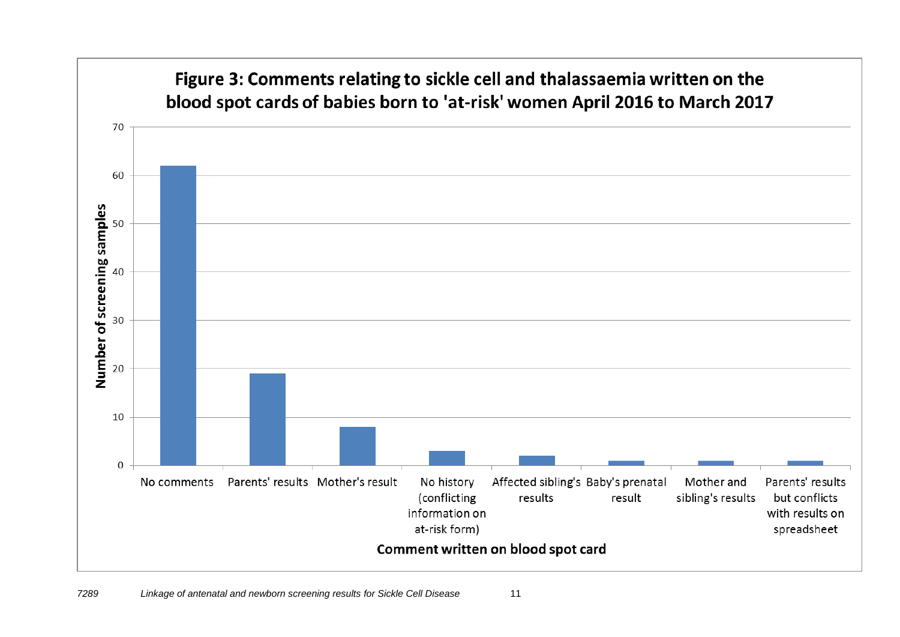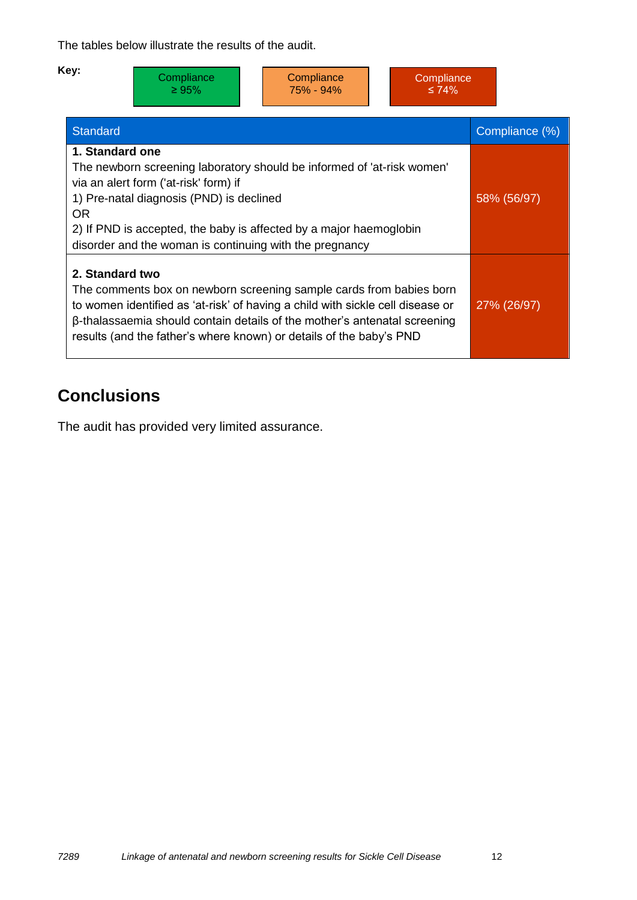The tables below illustrate the results of the audit.

| Key:<br>Compliance<br>Compliance<br>Compliance<br>75% - 94%<br>$\geq 95\%$<br>$\leq 74\%$                                                                                                                                                                                                                                    |                |
|------------------------------------------------------------------------------------------------------------------------------------------------------------------------------------------------------------------------------------------------------------------------------------------------------------------------------|----------------|
| <b>Standard</b>                                                                                                                                                                                                                                                                                                              | Compliance (%) |
| 1. Standard one<br>The newborn screening laboratory should be informed of 'at-risk women'<br>via an alert form ('at-risk' form) if<br>1) Pre-natal diagnosis (PND) is declined<br>OR.<br>2) If PND is accepted, the baby is affected by a major haemoglobin<br>disorder and the woman is continuing with the pregnancy       | 58% (56/97)    |
| 2. Standard two<br>The comments box on newborn screening sample cards from babies born<br>to women identified as 'at-risk' of having a child with sickle cell disease or<br>β-thalassaemia should contain details of the mother's antenatal screening<br>results (and the father's where known) or details of the baby's PND | 27% (26/97)    |

### <span id="page-11-0"></span>**Conclusions**

The audit has provided very limited assurance.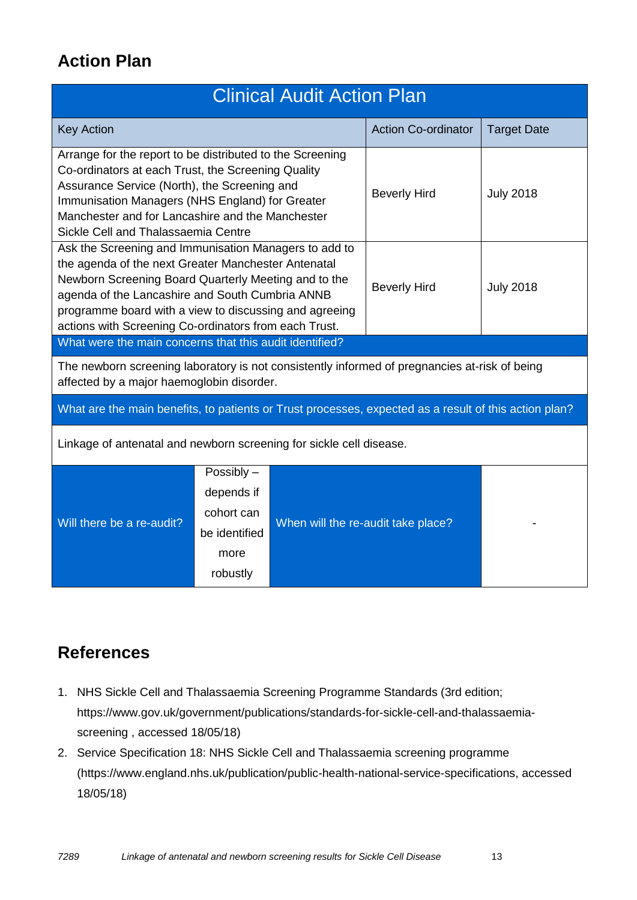### <span id="page-12-0"></span>**Action Plan**

|                                                                                                                                                                                                                                                                                                                                            | <b>Clinical Audit Action Plan</b>                                           |                                    |                            |                    |  |  |  |  |
|--------------------------------------------------------------------------------------------------------------------------------------------------------------------------------------------------------------------------------------------------------------------------------------------------------------------------------------------|-----------------------------------------------------------------------------|------------------------------------|----------------------------|--------------------|--|--|--|--|
| <b>Key Action</b>                                                                                                                                                                                                                                                                                                                          |                                                                             |                                    | <b>Action Co-ordinator</b> | <b>Target Date</b> |  |  |  |  |
| Arrange for the report to be distributed to the Screening<br>Co-ordinators at each Trust, the Screening Quality<br>Assurance Service (North), the Screening and<br>Immunisation Managers (NHS England) for Greater<br>Manchester and for Lancashire and the Manchester<br>Sickle Cell and Thalassaemia Centre                              |                                                                             | <b>Beverly Hird</b>                | <b>July 2018</b>           |                    |  |  |  |  |
| Ask the Screening and Immunisation Managers to add to<br>the agenda of the next Greater Manchester Antenatal<br>Newborn Screening Board Quarterly Meeting and to the<br>agenda of the Lancashire and South Cumbria ANNB<br>programme board with a view to discussing and agreeing<br>actions with Screening Co-ordinators from each Trust. |                                                                             | <b>Beverly Hird</b>                | <b>July 2018</b>           |                    |  |  |  |  |
| What were the main concerns that this audit identified?                                                                                                                                                                                                                                                                                    |                                                                             |                                    |                            |                    |  |  |  |  |
| The newborn screening laboratory is not consistently informed of pregnancies at-risk of being<br>affected by a major haemoglobin disorder.                                                                                                                                                                                                 |                                                                             |                                    |                            |                    |  |  |  |  |
| What are the main benefits, to patients or Trust processes, expected as a result of this action plan?                                                                                                                                                                                                                                      |                                                                             |                                    |                            |                    |  |  |  |  |
| Linkage of antenatal and newborn screening for sickle cell disease.                                                                                                                                                                                                                                                                        |                                                                             |                                    |                            |                    |  |  |  |  |
| Will there be a re-audit?                                                                                                                                                                                                                                                                                                                  | Possibly -<br>depends if<br>cohort can<br>be identified<br>more<br>robustly | When will the re-audit take place? |                            |                    |  |  |  |  |

#### <span id="page-12-1"></span>**References**

- 1. NHS Sickle Cell and Thalassaemia Screening Programme Standards (3rd edition; https://www.gov.uk/government/publications/standards-for-sickle-cell-and-thalassaemiascreening , accessed 18/05/18)
- 2. Service Specification 18: NHS Sickle Cell and Thalassaemia screening programme (https://www.england.nhs.uk/publication/public-health-national-service-specifications, accessed 18/05/18)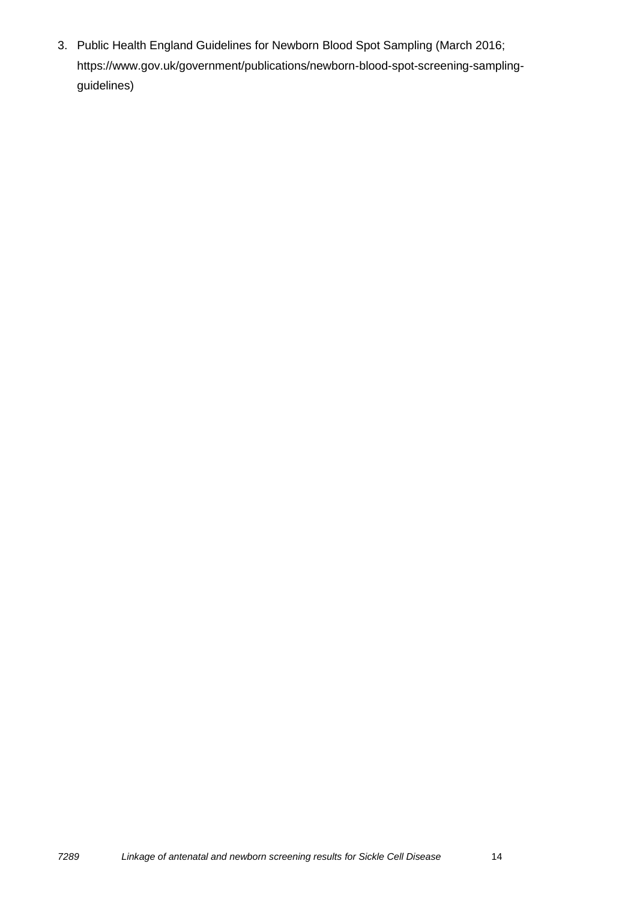3. Public Health England Guidelines for Newborn Blood Spot Sampling (March 2016; https://www.gov.uk/government/publications/newborn-blood-spot-screening-samplingguidelines)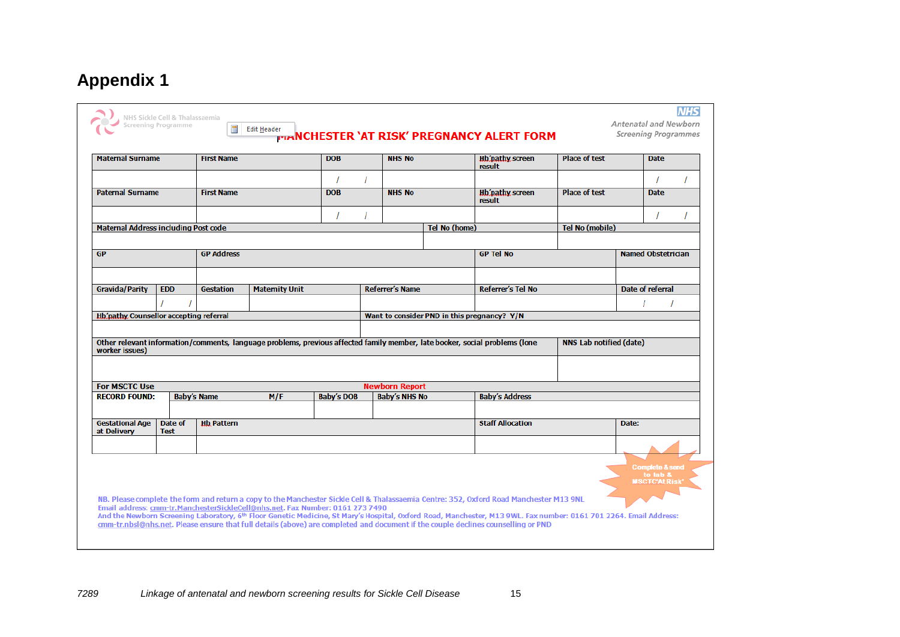# **Appendix 1**

<span id="page-14-0"></span>

|                                               | <b>Maternal Surname</b> | <b>First Name</b>  |                       | <b>DOB</b>        | <b>NHS No</b>          |                                             | Hb'pathy screen<br>result                                                                                                   | <b>Place of test</b>           |                           | <b>Date</b> |  |
|-----------------------------------------------|-------------------------|--------------------|-----------------------|-------------------|------------------------|---------------------------------------------|-----------------------------------------------------------------------------------------------------------------------------|--------------------------------|---------------------------|-------------|--|
|                                               |                         |                    |                       |                   |                        |                                             |                                                                                                                             |                                |                           |             |  |
| <b>Paternal Surname</b>                       |                         | <b>First Name</b>  |                       | <b>DOB</b>        | <b>NHS No</b>          |                                             | Hb'pathy screen<br>result                                                                                                   | <b>Place of test</b>           |                           | <b>Date</b> |  |
|                                               |                         |                    |                       |                   |                        |                                             |                                                                                                                             |                                |                           |             |  |
| Maternal Address including Post code          |                         |                    |                       |                   |                        | Tel No (home)                               |                                                                                                                             | Tel No (mobile)                |                           |             |  |
| <b>GP</b>                                     |                         | <b>GP Address</b>  |                       |                   |                        |                                             | <b>GP Tel No</b>                                                                                                            |                                | <b>Named Obstetrician</b> |             |  |
|                                               |                         |                    |                       |                   |                        |                                             |                                                                                                                             |                                |                           |             |  |
| <b>Gravida/Parity</b>                         | <b>EDD</b>              | <b>Gestation</b>   | <b>Maternity Unit</b> |                   | <b>Referrer's Name</b> |                                             | <b>Referrer's Tel No</b>                                                                                                    |                                | Date of referral          |             |  |
|                                               |                         |                    |                       |                   |                        |                                             |                                                                                                                             |                                |                           |             |  |
| <b>Hb'pathy Counsellor accepting referral</b> |                         |                    |                       |                   |                        | Want to consider PND in this pregnancy? Y/N |                                                                                                                             |                                |                           |             |  |
|                                               |                         |                    |                       |                   |                        |                                             | Other relevant information/comments, language problems, previous affected family member, late booker, social problems (lone | <b>NNS Lab notified (date)</b> |                           |             |  |
|                                               |                         |                    |                       |                   |                        |                                             |                                                                                                                             |                                |                           |             |  |
| worker issues)<br><b>For MSCTC Use</b>        |                         |                    |                       |                   | <b>Newborn Report</b>  |                                             |                                                                                                                             |                                |                           |             |  |
| <b>RECORD FOUND:</b>                          |                         | <b>Baby's Name</b> | M/F                   | <b>Baby's DOB</b> | <b>Baby's NHS No</b>   |                                             | <b>Baby's Address</b>                                                                                                       |                                |                           |             |  |
| <b>Gestational Age</b><br>at Delivery         | Date of<br><b>Test</b>  | <b>Hb Pattern</b>  |                       |                   |                        |                                             | <b>Staff Allocation</b>                                                                                                     |                                | Date:                     |             |  |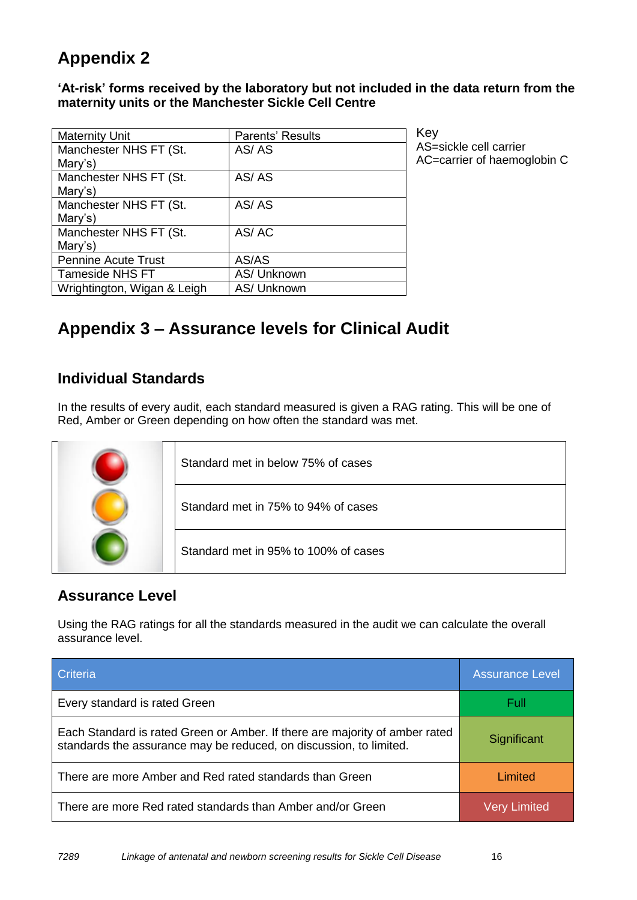### <span id="page-15-0"></span>**Appendix 2**

**'At-risk' forms received by the laboratory but not included in the data return from the maternity units or the Manchester Sickle Cell Centre**

| <b>Maternity Unit</b>       | Parents' Results |
|-----------------------------|------------------|
| Manchester NHS FT (St.      | AS/AS            |
| Mary's)                     |                  |
| Manchester NHS FT (St.      | AS/AS            |
| Mary's)                     |                  |
| Manchester NHS FT (St.      | AS/AS            |
| Mary's)                     |                  |
| Manchester NHS FT (St.      | AS/AC            |
| Mary's)                     |                  |
| <b>Pennine Acute Trust</b>  | AS/AS            |
| <b>Tameside NHS FT</b>      | AS/ Unknown      |
| Wrightington, Wigan & Leigh | AS/ Unknown      |

<span id="page-15-1"></span>Key AS=sickle cell carrier AC=carrier of haemoglobin C

## **Appendix 3 – Assurance levels for Clinical Audit**

#### **Individual Standards**

In the results of every audit, each standard measured is given a RAG rating. This will be one of Red, Amber or Green depending on how often the standard was met.

| Standard met in below 75% of cases   |
|--------------------------------------|
| Standard met in 75% to 94% of cases  |
| Standard met in 95% to 100% of cases |

#### **Assurance Level**

Using the RAG ratings for all the standards measured in the audit we can calculate the overall assurance level.

| <b>Criteria</b>                                                                                                                                   | <b>Assurance Level</b> |
|---------------------------------------------------------------------------------------------------------------------------------------------------|------------------------|
| Every standard is rated Green                                                                                                                     | Full                   |
| Each Standard is rated Green or Amber. If there are majority of amber rated<br>standards the assurance may be reduced, on discussion, to limited. | Significant            |
| There are more Amber and Red rated standards than Green                                                                                           | Limited                |
| There are more Red rated standards than Amber and/or Green                                                                                        | <b>Very Limited</b>    |